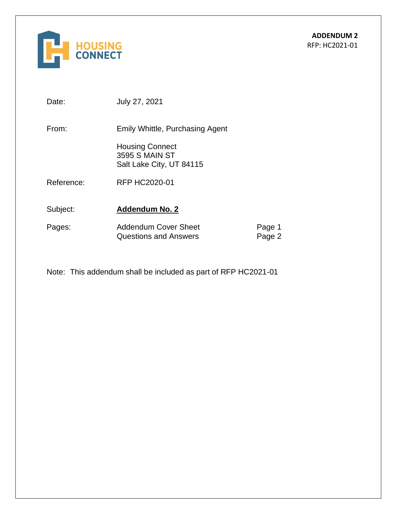

Date: July 27, 2021

From: Emily Whittle, Purchasing Agent

Housing Connect 3595 S MAIN ST Salt Lake City, UT 84115

Reference: RFP HC2020-01

Subject: **Addendum No. 2**

| Pages: | <b>Addendum Cover Sheet</b>  | Page 1 |
|--------|------------------------------|--------|
|        | <b>Questions and Answers</b> | Page 2 |

Note: This addendum shall be included as part of RFP HC2021-01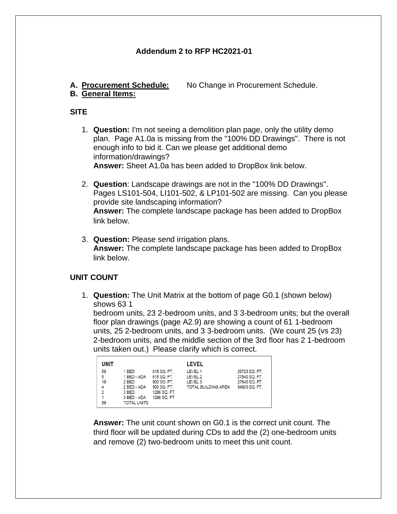## **Addendum 2 to RFP HC2021-01**

**A. Procurement Schedule:** No Change in Procurement Schedule.

# **B. General Items:**

#### **SITE**

1. **Question:** I'm not seeing a demolition plan page, only the utility demo plan. Page A1.0a is missing from the "100% DD Drawings". There is not enough info to bid it. Can we please get additional demo information/drawings? **Answer:** Sheet A1.0a has been added to DropBox link below.

- 2. **Question**: Landscape drawings are not in the "100% DD Drawings". Pages LS101-504, LI101-502, & LP101-502 are missing. Can you please provide site landscaping information? **Answer:** The complete landscape package has been added to DropBox link below.
- 3. **Question:** Please send irrigation plans. **Answer:** The complete landscape package has been added to DropBox link below.

## **UNIT COUNT**

1. **Question:** The Unit Matrix at the bottom of page G0.1 (shown below) shows 63 1

bedroom units, 23 2-bedroom units, and 3 3-bedroom units; but the overall floor plan drawings (page A2.9) are showing a count of 61 1-bedroom units, 25 2-bedroom units, and 3 3-bedroom units. (We count 25 (vs 23) 2-bedroom units, and the middle section of the 3rd floor has 2 1-bedroom units taken out.) Please clarify which is correct.

| <b>UNIT</b>    |                    |              | <b>LEVEL</b>               |               |
|----------------|--------------------|--------------|----------------------------|---------------|
| 58             | 1 BED              | 615 SQ. FT.  | LEVEL 1                    | 29723 SQ. FT. |
| 5              | 1 BED - ADA        | 615 SQ. FT.  | LEVEL 2                    | 27540 SQ. FT. |
| 19             | 2 BED              | 900 SQ. FT.  | LEVEL <sub>3</sub>         | 27540 SQ. FT. |
| 4              | 2 BED - ADA        | 900 SQ. FT.  | <b>TOTAL BUILDING AREA</b> | 84803 SQ. FT. |
| $\overline{2}$ | 3 BED              | 1286 SQ. FT. |                            |               |
| 1              | 3 BED - ADA        | 1286 SQ. FT  |                            |               |
| 89             | <b>TOTAL UNITS</b> |              |                            |               |

**Answer:** The unit count shown on G0.1 is the correct unit count. The third floor will be updated during CDs to add the (2) one-bedroom units and remove (2) two-bedroom units to meet this unit count.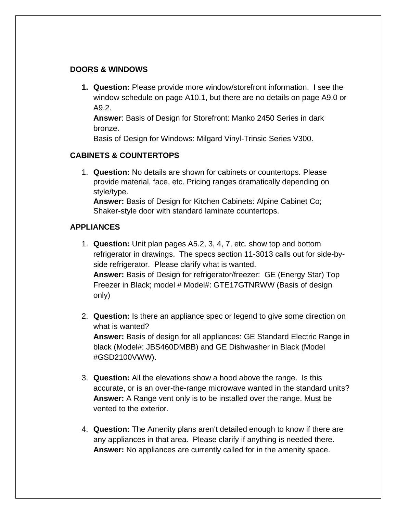## **DOORS & WINDOWS**

**1. Question:** Please provide more window/storefront information. I see the window schedule on page A10.1, but there are no details on page A9.0 or A9.2.

**Answer**: Basis of Design for Storefront: Manko 2450 Series in dark bronze.

Basis of Design for Windows: Milgard Vinyl-Trinsic Series V300.

# **CABINETS & COUNTERTOPS**

1. **Question:** No details are shown for cabinets or countertops. Please provide material, face, etc. Pricing ranges dramatically depending on style/type.

**Answer:** Basis of Design for Kitchen Cabinets: Alpine Cabinet Co; Shaker-style door with standard laminate countertops.

## **APPLIANCES**

- 1. **Question:** Unit plan pages A5.2, 3, 4, 7, etc. show top and bottom refrigerator in drawings. The specs section 11-3013 calls out for side-byside refrigerator. Please clarify what is wanted. **Answer:** Basis of Design for refrigerator/freezer: GE (Energy Star) Top Freezer in Black; model # Model#: GTE17GTNRWW (Basis of design only)
- 2. **Question:** Is there an appliance spec or legend to give some direction on what is wanted? **Answer:** Basis of design for all appliances: GE Standard Electric Range in black (Model#: JBS460DMBB) and GE Dishwasher in Black (Model #GSD2100VWW).
- 3. **Question:** All the elevations show a hood above the range. Is this accurate, or is an over-the-range microwave wanted in the standard units? **Answer:** A Range vent only is to be installed over the range. Must be vented to the exterior.
- 4. **Question:** The Amenity plans aren't detailed enough to know if there are any appliances in that area. Please clarify if anything is needed there. **Answer:** No appliances are currently called for in the amenity space.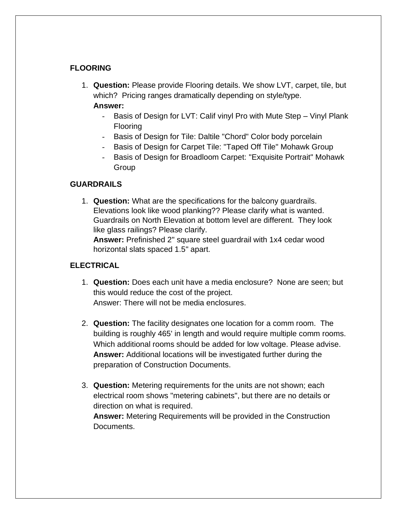# **FLOORING**

1. **Question:** Please provide Flooring details. We show LVT, carpet, tile, but which? Pricing ranges dramatically depending on style/type.

### **Answer:**

- Basis of Design for LVT: Calif vinyl Pro with Mute Step Vinyl Plank Flooring
- Basis of Design for Tile: Daltile "Chord" Color body porcelain
- Basis of Design for Carpet Tile: "Taped Off Tile" Mohawk Group
- Basis of Design for Broadloom Carpet: "Exquisite Portrait" Mohawk Group

# **GUARDRAILS**

1. **Question:** What are the specifications for the balcony guardrails. Elevations look like wood planking?? Please clarify what is wanted. Guardrails on North Elevation at bottom level are different. They look like glass railings? Please clarify.

**Answer:** Prefinished 2" square steel guardrail with 1x4 cedar wood horizontal slats spaced 1.5" apart.

# **ELECTRICAL**

- 1. **Question:** Does each unit have a media enclosure? None are seen; but this would reduce the cost of the project. Answer: There will not be media enclosures.
- 2. **Question:** The facility designates one location for a comm room. The building is roughly 465' in length and would require multiple comm rooms. Which additional rooms should be added for low voltage. Please advise. **Answer:** Additional locations will be investigated further during the preparation of Construction Documents.
- 3. **Question:** Metering requirements for the units are not shown; each electrical room shows "metering cabinets", but there are no details or direction on what is required.

**Answer:** Metering Requirements will be provided in the Construction Documents.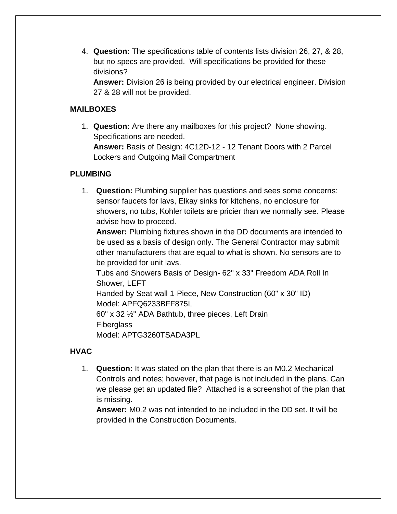4. **Question:** The specifications table of contents lists division 26, 27, & 28, but no specs are provided. Will specifications be provided for these divisions?

**Answer:** Division 26 is being provided by our electrical engineer. Division 27 & 28 will not be provided.

# **MAILBOXES**

1. **Question:** Are there any mailboxes for this project? None showing. Specifications are needed.

**Answer:** Basis of Design: 4C12D-12 - 12 Tenant Doors with 2 Parcel Lockers and Outgoing Mail Compartment

# **PLUMBING**

1. **Question:** Plumbing supplier has questions and sees some concerns: sensor faucets for lavs, Elkay sinks for kitchens, no enclosure for showers, no tubs, Kohler toilets are pricier than we normally see. Please advise how to proceed.

**Answer:** Plumbing fixtures shown in the DD documents are intended to be used as a basis of design only. The General Contractor may submit other manufacturers that are equal to what is shown. No sensors are to be provided for unit lavs.

Tubs and Showers Basis of Design- 62" x 33" Freedom ADA Roll In Shower, LEFT

Handed by Seat wall 1-Piece, New Construction (60" x 30" ID) Model: APFQ6233BFF875L

60" x 32 ½" ADA Bathtub, three pieces, Left Drain **Fiberglass** 

Model: APTG3260TSADA3PL

# **HVAC**

1. **Question:** It was stated on the plan that there is an M0.2 Mechanical Controls and notes; however, that page is not included in the plans. Can we please get an updated file? Attached is a screenshot of the plan that is missing.

**Answer:** M0.2 was not intended to be included in the DD set. It will be provided in the Construction Documents.